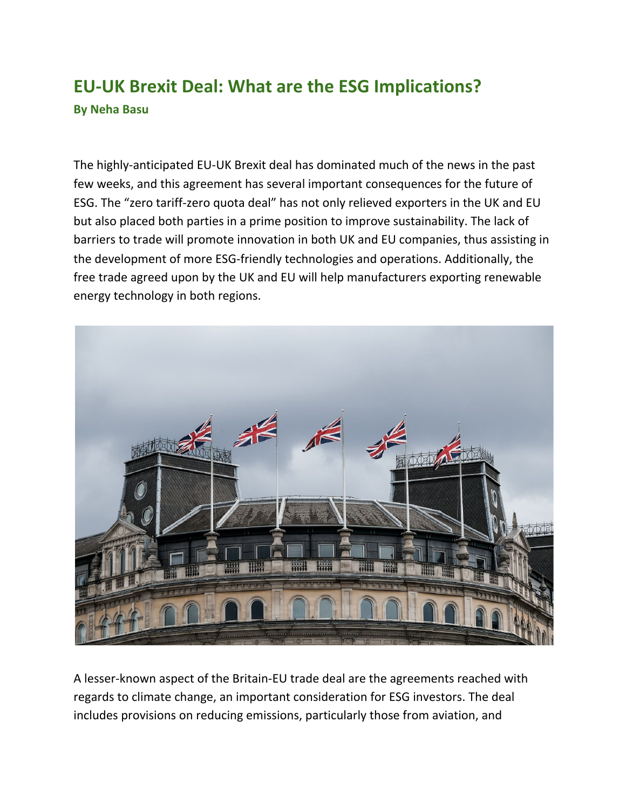## **EU-UK Brexit Deal: What are the ESG Implications? By Neha Basu**

The highly-anticipated EU-UK Brexit deal has dominated much of the news in the past few weeks, and this agreement has several important consequences for the future of ESG. The "zero tariff-zero quota deal" has not only relieved exporters in the UK and EU but also placed both parties in a prime position to improve sustainability. The lack of barriers to trade will promote innovation in both UK and EU companies, thus assisting in the development of more ESG-friendly technologies and operations. Additionally, the free trade agreed upon by the UK and EU will help manufacturers exporting renewable energy technology in both regions.



A lesser-known aspect of the Britain-EU trade deal are the agreements reached with regards to climate change, an important consideration for ESG investors. The deal includes provisions on reducing emissions, particularly those from aviation, and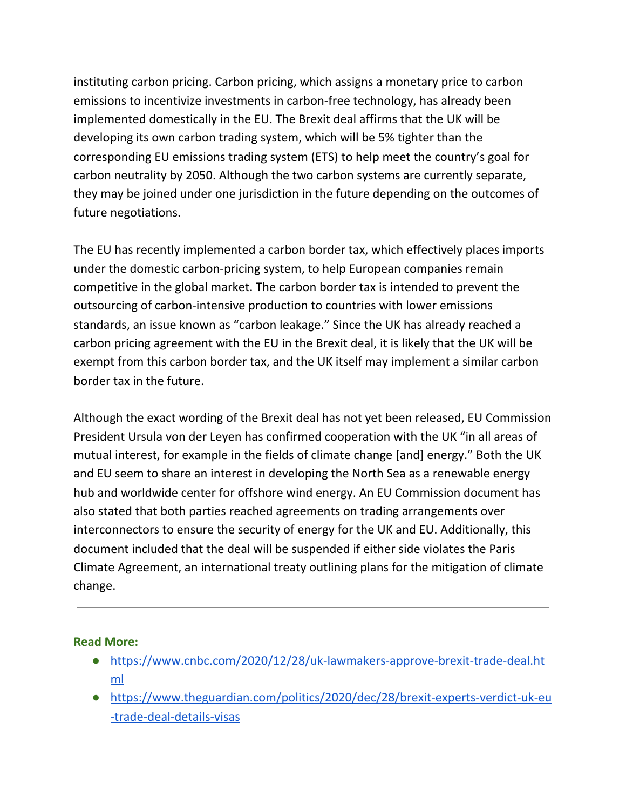instituting carbon pricing. Carbon pricing, which assigns a monetary price to carbon emissions to incentivize investments in carbon-free technology, has already been implemented domestically in the EU. The Brexit deal affirms that the UK will be developing its own carbon trading system, which will be 5% tighter than the corresponding EU emissions trading system (ETS) to help meet the country's goal for carbon neutrality by 2050. Although the two carbon systems are currently separate, they may be joined under one jurisdiction in the future depending on the outcomes of future negotiations.

The EU has recently implemented a carbon border tax, which effectively places imports under the domestic carbon-pricing system, to help European companies remain competitive in the global market. The carbon border tax is intended to prevent the outsourcing of carbon-intensive production to countries with lower emissions standards, an issue known as "carbon leakage." Since the UK has already reached a carbon pricing agreement with the EU in the Brexit deal, it is likely that the UK will be exempt from this carbon border tax, and the UK itself may implement a similar carbon border tax in the future.

Although the exact wording of the Brexit deal has not yet been released, EU Commission President Ursula von der Leyen has confirmed cooperation with the UK "in all areas of mutual interest, for example in the fields of climate change [and] energy." Both the UK and EU seem to share an interest in developing the North Sea as a renewable energy hub and worldwide center for offshore wind energy. An EU Commission document has also stated that both parties reached agreements on trading arrangements over interconnectors to ensure the security of energy for the UK and EU. Additionally, this document included that the deal will be suspended if either side violates the Paris Climate Agreement, an international treaty outlining plans for the mitigation of climate change.

## **Read More:**

- [https://www.cnbc.com/2020/12/28/uk-lawmakers-approve-brexit-trade-deal.ht](https://www.cnbc.com/2020/12/28/uk-lawmakers-approve-brexit-trade-deal.html) [ml](https://www.cnbc.com/2020/12/28/uk-lawmakers-approve-brexit-trade-deal.html)
- [https://www.theguardian.com/politics/2020/dec/28/brexit-experts-verdict-uk-eu](https://www.theguardian.com/politics/2020/dec/28/brexit-experts-verdict-uk-eu-trade-deal-details-visas) [-trade-deal-details-visas](https://www.theguardian.com/politics/2020/dec/28/brexit-experts-verdict-uk-eu-trade-deal-details-visas)